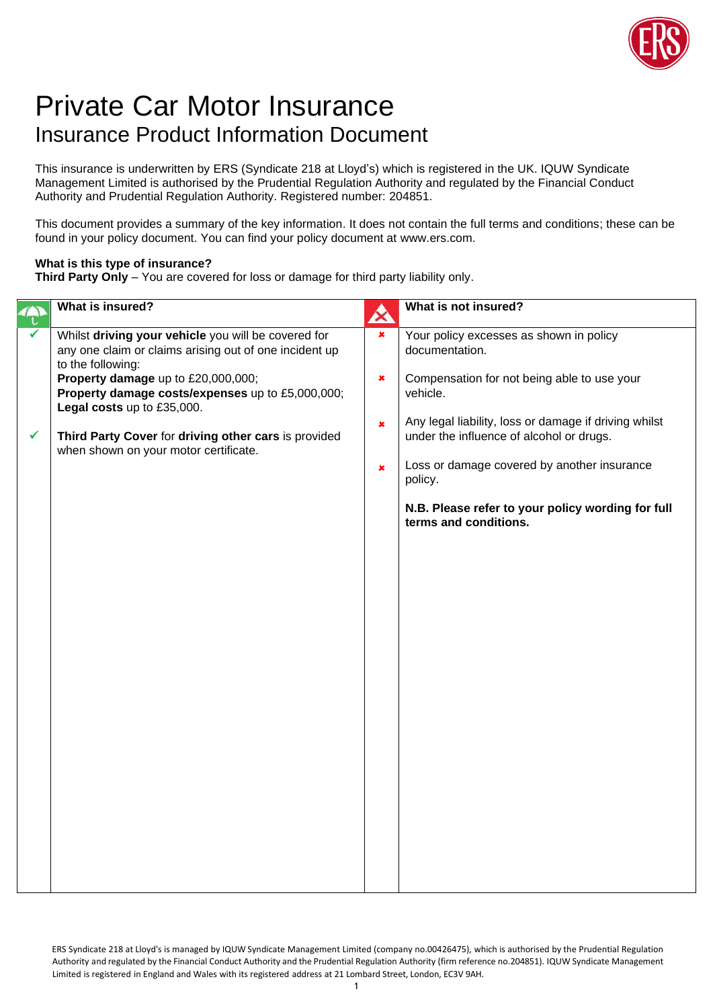

## Private Car Motor Insurance Insurance Product Information Document

This insurance is underwritten by ERS (Syndicate 218 at Lloyd's) which is registered in the UK. IQUW Syndicate Management Limited is authorised by the Prudential Regulation Authority and regulated by the Financial Conduct Authority and Prudential Regulation Authority. Registered number: 204851.

This document provides a summary of the key information. It does not contain the full terms and conditions; these can be found in your policy document. You can find your policy document at www.ers.com.

## **What is this type of insurance?**

**Third Party Only** – You are covered for loss or damage for third party liability only.

| What is insured?                                                                                                                                                                                                                                                                                                                                            | $\boldsymbol{\chi}$                                         | What is not insured?                                                                                                                                                                                                      |
|-------------------------------------------------------------------------------------------------------------------------------------------------------------------------------------------------------------------------------------------------------------------------------------------------------------------------------------------------------------|-------------------------------------------------------------|---------------------------------------------------------------------------------------------------------------------------------------------------------------------------------------------------------------------------|
| Whilst driving your vehicle you will be covered for<br>any one claim or claims arising out of one incident up<br>to the following:<br>Property damage up to £20,000,000;<br>Property damage costs/expenses up to £5,000,000;<br>Legal costs up to £35,000.<br>Third Party Cover for driving other cars is provided<br>when shown on your motor certificate. | $\overline{\mathbf{x}}$<br>$\pmb{\times}$<br>$\pmb{\times}$ | Your policy excesses as shown in policy<br>documentation.<br>Compensation for not being able to use your<br>vehicle.<br>Any legal liability, loss or damage if driving whilst<br>under the influence of alcohol or drugs. |
|                                                                                                                                                                                                                                                                                                                                                             | $\pmb{\times}$                                              | Loss or damage covered by another insurance<br>policy.                                                                                                                                                                    |
|                                                                                                                                                                                                                                                                                                                                                             |                                                             | N.B. Please refer to your policy wording for full<br>terms and conditions.                                                                                                                                                |
|                                                                                                                                                                                                                                                                                                                                                             |                                                             |                                                                                                                                                                                                                           |
|                                                                                                                                                                                                                                                                                                                                                             |                                                             |                                                                                                                                                                                                                           |
|                                                                                                                                                                                                                                                                                                                                                             |                                                             |                                                                                                                                                                                                                           |
|                                                                                                                                                                                                                                                                                                                                                             |                                                             |                                                                                                                                                                                                                           |
|                                                                                                                                                                                                                                                                                                                                                             |                                                             |                                                                                                                                                                                                                           |
|                                                                                                                                                                                                                                                                                                                                                             |                                                             |                                                                                                                                                                                                                           |
|                                                                                                                                                                                                                                                                                                                                                             |                                                             |                                                                                                                                                                                                                           |
|                                                                                                                                                                                                                                                                                                                                                             |                                                             |                                                                                                                                                                                                                           |
|                                                                                                                                                                                                                                                                                                                                                             |                                                             |                                                                                                                                                                                                                           |

ERS Syndicate 218 at Lloyd's is managed by IQUW Syndicate Management Limited (company no.00426475), which is authorised by the Prudential Regulation Authority and regulated by the Financial Conduct Authority and the Prudential Regulation Authority (firm reference no.204851). IQUW Syndicate Management Limited is registered in England and Wales with its registered address at 21 Lombard Street, London, EC3V 9AH.